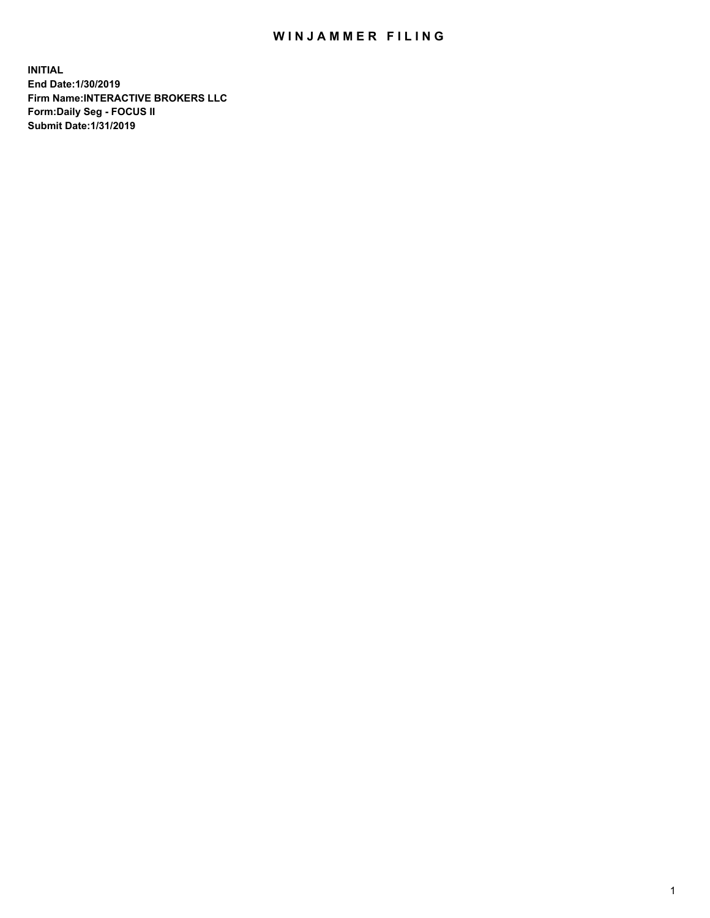## WIN JAMMER FILING

**INITIAL End Date:1/30/2019 Firm Name:INTERACTIVE BROKERS LLC Form:Daily Seg - FOCUS II Submit Date:1/31/2019**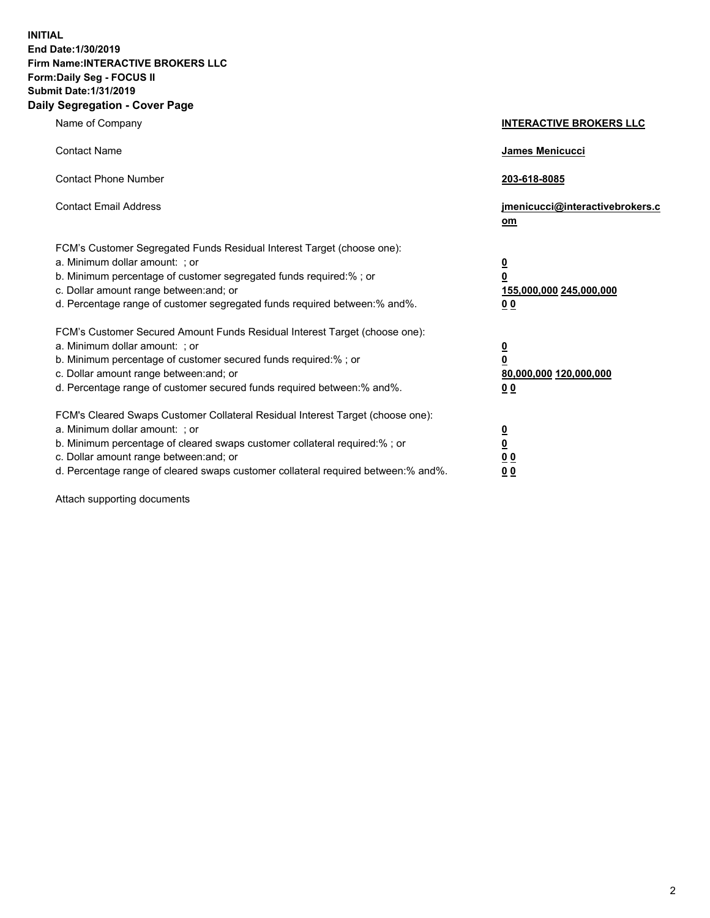**INITIAL End Date:1/30/2019 Firm Name:INTERACTIVE BROKERS LLC Form:Daily Seg - FOCUS II Submit Date:1/31/2019 Daily Segregation - Cover Page**

| Name of Company                                                                                                                                                                                                                                                                                                                | <b>INTERACTIVE BROKERS LLC</b>                                                                  |
|--------------------------------------------------------------------------------------------------------------------------------------------------------------------------------------------------------------------------------------------------------------------------------------------------------------------------------|-------------------------------------------------------------------------------------------------|
| <b>Contact Name</b>                                                                                                                                                                                                                                                                                                            | James Menicucci                                                                                 |
| <b>Contact Phone Number</b>                                                                                                                                                                                                                                                                                                    | 203-618-8085                                                                                    |
| <b>Contact Email Address</b>                                                                                                                                                                                                                                                                                                   | jmenicucci@interactivebrokers.c<br>om                                                           |
| FCM's Customer Segregated Funds Residual Interest Target (choose one):<br>a. Minimum dollar amount: ; or<br>b. Minimum percentage of customer segregated funds required:% ; or<br>c. Dollar amount range between: and; or<br>d. Percentage range of customer segregated funds required between:% and%.                         | $\overline{\mathbf{0}}$<br>$\overline{\mathbf{0}}$<br>155,000,000 245,000,000<br>0 <sub>0</sub> |
| FCM's Customer Secured Amount Funds Residual Interest Target (choose one):<br>a. Minimum dollar amount: ; or<br>b. Minimum percentage of customer secured funds required:%; or<br>c. Dollar amount range between: and; or<br>d. Percentage range of customer secured funds required between:% and%.                            | $\overline{\mathbf{0}}$<br>$\overline{\mathbf{0}}$<br>80,000,000 120,000,000<br>0 <sub>0</sub>  |
| FCM's Cleared Swaps Customer Collateral Residual Interest Target (choose one):<br>a. Minimum dollar amount: ; or<br>b. Minimum percentage of cleared swaps customer collateral required:% ; or<br>c. Dollar amount range between: and; or<br>d. Percentage range of cleared swaps customer collateral required between:% and%. | $\frac{0}{0}$<br>$\underline{0}$ $\underline{0}$<br>0 <sub>0</sub>                              |

Attach supporting documents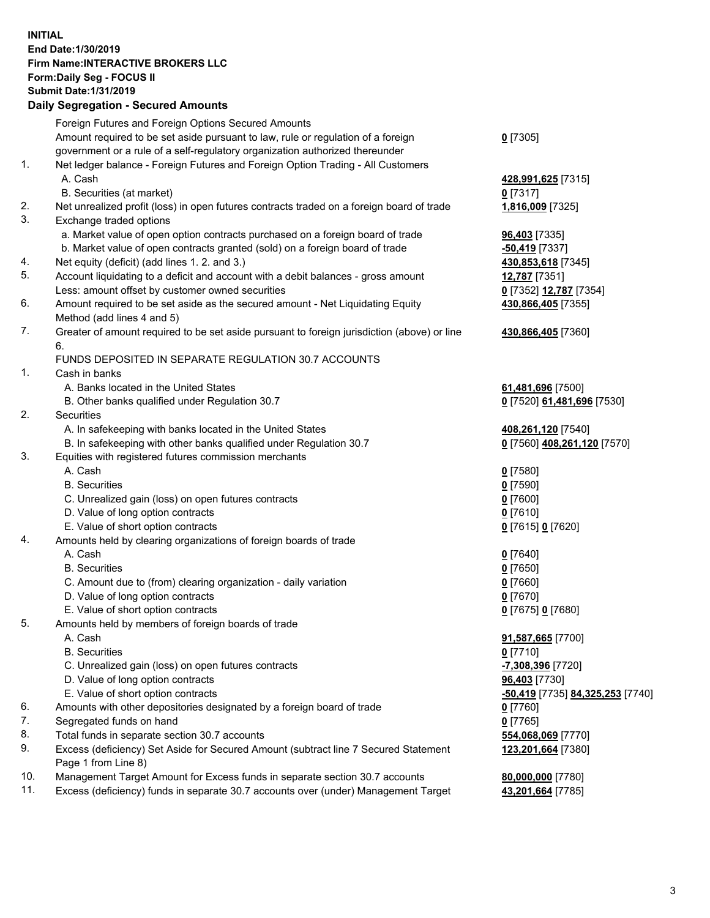## **INITIAL End Date:1/30/2019 Firm Name:INTERACTIVE BROKERS LLC Form:Daily Seg - FOCUS II Submit Date:1/31/2019 Daily Segregation - Secured Amounts**

|                | Dany Ocgregation - Oceaned Anioante                                                               |                                                      |
|----------------|---------------------------------------------------------------------------------------------------|------------------------------------------------------|
|                | Foreign Futures and Foreign Options Secured Amounts                                               |                                                      |
|                | Amount required to be set aside pursuant to law, rule or regulation of a foreign                  | $0$ [7305]                                           |
|                | government or a rule of a self-regulatory organization authorized thereunder                      |                                                      |
| 1.             | Net ledger balance - Foreign Futures and Foreign Option Trading - All Customers                   |                                                      |
|                | A. Cash                                                                                           | 428,991,625 [7315]                                   |
|                | B. Securities (at market)                                                                         | $0$ [7317]                                           |
| 2.             | Net unrealized profit (loss) in open futures contracts traded on a foreign board of trade         | 1,816,009 [7325]                                     |
| 3.             | Exchange traded options                                                                           |                                                      |
|                | a. Market value of open option contracts purchased on a foreign board of trade                    | 96,403 [7335]                                        |
|                | b. Market value of open contracts granted (sold) on a foreign board of trade                      | -50,419 [7337]                                       |
| 4.             | Net equity (deficit) (add lines 1. 2. and 3.)                                                     | 430,853,618 [7345]                                   |
| 5.             | Account liquidating to a deficit and account with a debit balances - gross amount                 | 12,787 [7351]                                        |
|                | Less: amount offset by customer owned securities                                                  | 0 [7352] 12,787 [7354]                               |
| 6.             | Amount required to be set aside as the secured amount - Net Liquidating Equity                    | 430,866,405 [7355]                                   |
|                | Method (add lines 4 and 5)                                                                        |                                                      |
| 7.             | Greater of amount required to be set aside pursuant to foreign jurisdiction (above) or line<br>6. | 430,866,405 [7360]                                   |
|                | FUNDS DEPOSITED IN SEPARATE REGULATION 30.7 ACCOUNTS                                              |                                                      |
| $\mathbf{1}$ . | Cash in banks                                                                                     |                                                      |
|                | A. Banks located in the United States                                                             | 61,481,696 [7500]                                    |
|                | B. Other banks qualified under Regulation 30.7                                                    | 0 [7520] 61,481,696 [7530]                           |
| 2.             | Securities                                                                                        |                                                      |
|                | A. In safekeeping with banks located in the United States                                         | 408,261,120 [7540]                                   |
|                | B. In safekeeping with other banks qualified under Regulation 30.7                                | 0 [7560] 408,261,120 [7570]                          |
| 3.             | Equities with registered futures commission merchants                                             |                                                      |
|                | A. Cash                                                                                           | $0$ [7580]                                           |
|                | <b>B.</b> Securities                                                                              | $0$ [7590]                                           |
|                | C. Unrealized gain (loss) on open futures contracts                                               | $0$ [7600]                                           |
|                | D. Value of long option contracts                                                                 | $0$ [7610]                                           |
|                | E. Value of short option contracts                                                                | 0 [7615] 0 [7620]                                    |
| 4.             | Amounts held by clearing organizations of foreign boards of trade                                 |                                                      |
|                | A. Cash                                                                                           | $0$ [7640]                                           |
|                | <b>B.</b> Securities                                                                              | $0$ [7650]                                           |
|                | C. Amount due to (from) clearing organization - daily variation                                   | $0$ [7660]                                           |
|                | D. Value of long option contracts                                                                 | $0$ [7670]                                           |
|                | E. Value of short option contracts                                                                | 0 [7675] 0 [7680]                                    |
| 5.             | Amounts held by members of foreign boards of trade                                                |                                                      |
|                | A. Cash                                                                                           | 91,587,665 [7700]                                    |
|                | <b>B.</b> Securities                                                                              | $0$ [7710]                                           |
|                | C. Unrealized gain (loss) on open futures contracts                                               | -7,308,396 [7720]                                    |
|                | D. Value of long option contracts                                                                 | 96,403 [7730]                                        |
|                | E. Value of short option contracts                                                                | <mark>-50,419</mark> [7735] <u>84,325,253</u> [7740] |
| 6.             | Amounts with other depositories designated by a foreign board of trade                            | 0 [7760]                                             |
| 7.             | Segregated funds on hand                                                                          | $0$ [7765]                                           |
| 8.             | Total funds in separate section 30.7 accounts                                                     | 554,068,069 [7770]                                   |
| 9.             | Excess (deficiency) Set Aside for Secured Amount (subtract line 7 Secured Statement               | 123,201,664 [7380]                                   |
|                | Page 1 from Line 8)                                                                               |                                                      |
| 10.            | Management Target Amount for Excess funds in separate section 30.7 accounts                       | 80,000,000 [7780]                                    |
| 11.            | Excess (deficiency) funds in separate 30.7 accounts over (under) Management Target                | 43,201,664 [7785]                                    |
|                |                                                                                                   |                                                      |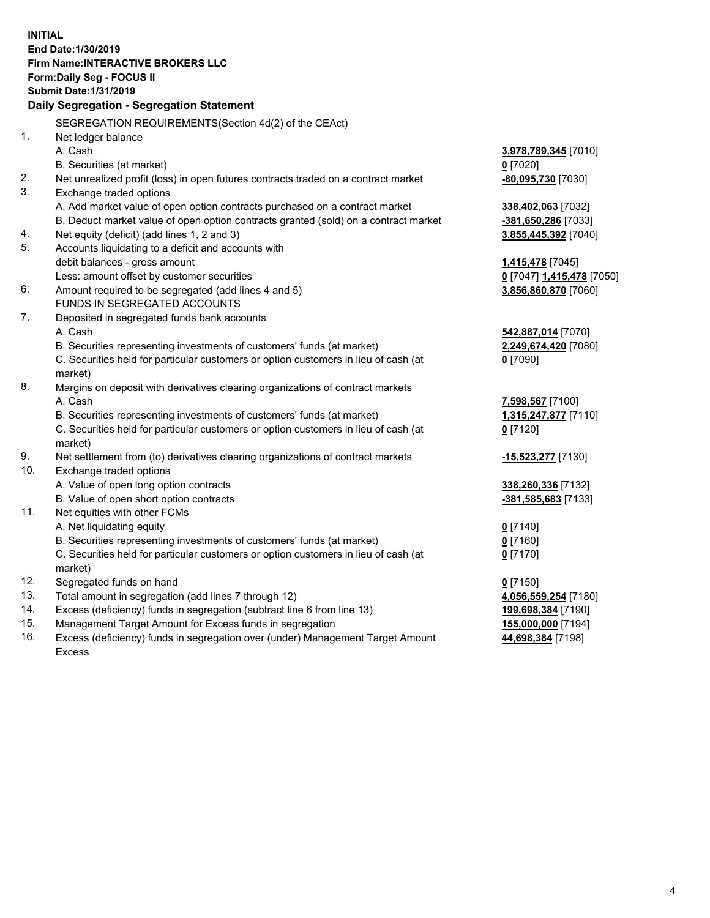**INITIAL End Date:1/30/2019 Firm Name:INTERACTIVE BROKERS LLC Form:Daily Seg - FOCUS II Submit Date:1/31/2019 Daily Segregation - Segregation Statement** SEGREGATION REQUIREMENTS(Section 4d(2) of the CEAct) 1. Net ledger balance A. Cash **3,978,789,345** [7010] B. Securities (at market) **0** [7020] 2. Net unrealized profit (loss) in open futures contracts traded on a contract market **-80,095,730** [7030] 3. Exchange traded options A. Add market value of open option contracts purchased on a contract market **338,402,063** [7032] B. Deduct market value of open option contracts granted (sold) on a contract market **-381,650,286** [7033] 4. Net equity (deficit) (add lines 1, 2 and 3) **3,855,445,392** [7040] 5. Accounts liquidating to a deficit and accounts with debit balances - gross amount **1,415,478** [7045] Less: amount offset by customer securities **0** [7047] **1,415,478** [7050] 6. Amount required to be segregated (add lines 4 and 5) **3,856,860,870** [7060] FUNDS IN SEGREGATED ACCOUNTS 7. Deposited in segregated funds bank accounts A. Cash **542,887,014** [7070] B. Securities representing investments of customers' funds (at market) **2,249,674,420** [7080] C. Securities held for particular customers or option customers in lieu of cash (at market) **0** [7090] 8. Margins on deposit with derivatives clearing organizations of contract markets A. Cash **7,598,567** [7100] B. Securities representing investments of customers' funds (at market) **1,315,247,877** [7110] C. Securities held for particular customers or option customers in lieu of cash (at market) **0** [7120] 9. Net settlement from (to) derivatives clearing organizations of contract markets **-15,523,277** [7130] 10. Exchange traded options A. Value of open long option contracts **338,260,336** [7132] B. Value of open short option contracts **-381,585,683** [7133] 11. Net equities with other FCMs A. Net liquidating equity **0** [7140] B. Securities representing investments of customers' funds (at market) **0** [7160] C. Securities held for particular customers or option customers in lieu of cash (at market) **0** [7170] 12. Segregated funds on hand **0** [7150] 13. Total amount in segregation (add lines 7 through 12) **4,056,559,254** [7180] 14. Excess (deficiency) funds in segregation (subtract line 6 from line 13) **199,698,384** [7190] 15. Management Target Amount for Excess funds in segregation **155,000,000** [7194] **44,698,384** [7198]

16. Excess (deficiency) funds in segregation over (under) Management Target Amount Excess

4